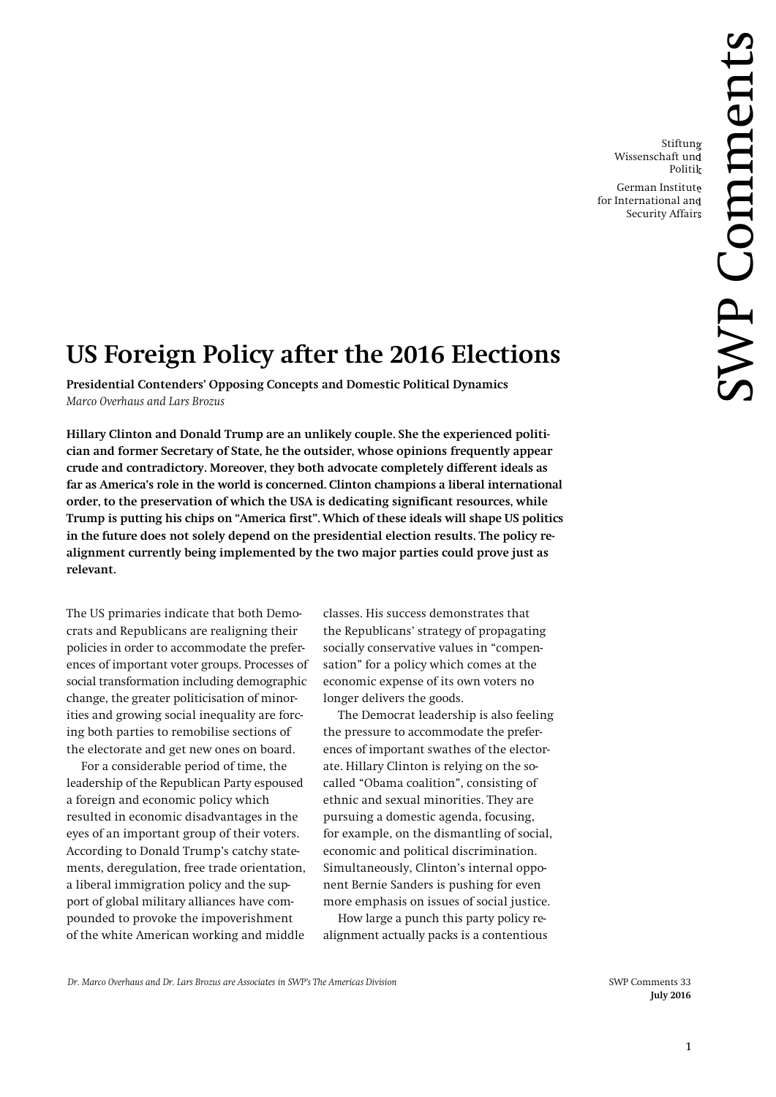Stiftung Wissenschaft und Politik

German Institute for International and Security Affairs

# **US Foreign Policy after the 2016 Elections**

**Presidential Contenders' Opposing Concepts and Domestic Political Dynamics** *Marco Overhaus and Lars Brozus*

**Hillary Clinton and Donald Trump are an unlikely couple. She the experienced politician and former Secretary of State, he the outsider, whose opinions frequently appear crude and contradictory. Moreover, they both advocate completely different ideals as far as America's role in the world is concerned. Clinton champions a liberal international order, to the preservation of which the USA is dedicating significant resources, while Trump is putting his chips on "America first". Which of these ideals will shape US politics in the future does not solely depend on the presidential election results. The policy realignment currently being implemented by the two major parties could prove just as relevant.**

The US primaries indicate that both Democrats and Republicans are realigning their policies in order to accommodate the preferences of important voter groups. Processes of social transformation including demographic change, the greater politicisation of minorities and growing social inequality are forcing both parties to remobilise sections of the electorate and get new ones on board.

For a considerable period of time, the leadership of the Republican Party espoused a foreign and economic policy which resulted in economic disadvantages in the eyes of an important group of their voters. According to Donald Trump's catchy statements, deregulation, free trade orientation, a liberal immigration policy and the support of global military alliances have compounded to provoke the impoverishment of the white American working and middle

classes. His success demonstrates that the Republicans' strategy of propagating socially conservative values in "compensation" for a policy which comes at the economic expense of its own voters no longer delivers the goods.

The Democrat leadership is also feeling the pressure to accommodate the preferences of important swathes of the electorate. Hillary Clinton is relying on the socalled "Obama coalition", consisting of ethnic and sexual minorities. They are pursuing a domestic agenda, focusing, for example, on the dismantling of social, economic and political discrimination. Simultaneously, Clinton's internal opponent Bernie Sanders is pushing for even more emphasis on issues of social justice.

How large a punch this party policy realignment actually packs is a contentious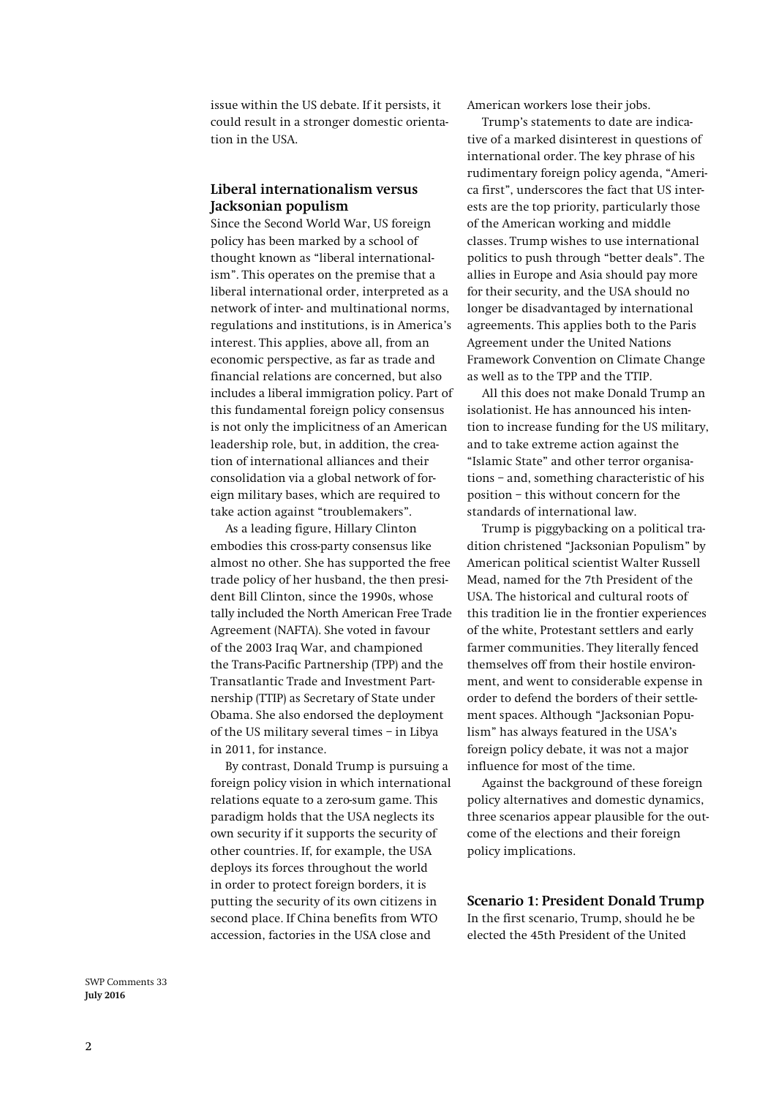issue within the US debate. If it persists, it could result in a stronger domestic orientation in the USA.

## **Liberal internationalism versus Jacksonian populism**

Since the Second World War, US foreign policy has been marked by a school of thought known as "liberal internationalism". This operates on the premise that a liberal international order, interpreted as a network of inter- and multinational norms, regulations and institutions, is in America's interest. This applies, above all, from an economic perspective, as far as trade and financial relations are concerned, but also includes a liberal immigration policy. Part of this fundamental foreign policy consensus is not only the implicitness of an American leadership role, but, in addition, the creation of international alliances and their consolidation via a global network of foreign military bases, which are required to take action against "troublemakers".

As a leading figure, Hillary Clinton embodies this cross-party consensus like almost no other. She has supported the free trade policy of her husband, the then president Bill Clinton, since the 1990s, whose tally included the North American Free Trade Agreement (NAFTA). She voted in favour of the 2003 Iraq War, and championed the Trans-Pacific Partnership (TPP) and the Transatlantic Trade and Investment Partnership (TTIP) as Secretary of State under Obama. She also endorsed the deployment of the US military several times – in Libya in 2011, for instance.

By contrast, Donald Trump is pursuing a foreign policy vision in which international relations equate to a zero-sum game. This paradigm holds that the USA neglects its own security if it supports the security of other countries. If, for example, the USA deploys its forces throughout the world in order to protect foreign borders, it is putting the security of its own citizens in second place. If China benefits from WTO accession, factories in the USA close and

American workers lose their jobs.

Trump's statements to date are indicative of a marked disinterest in questions of international order. The key phrase of his rudimentary foreign policy agenda, "America first", underscores the fact that US interests are the top priority, particularly those of the American working and middle classes. Trump wishes to use international politics to push through "better deals". The allies in Europe and Asia should pay more for their security, and the USA should no longer be disadvantaged by international agreements. This applies both to the Paris Agreement under the United Nations Framework Convention on Climate Change as well as to the TPP and the TTIP.

All this does not make Donald Trump an isolationist. He has announced his intention to increase funding for the US military, and to take extreme action against the "Islamic State" and other terror organisations – and, something characteristic of his position – this without concern for the standards of international law.

Trump is piggybacking on a political tradition christened "Jacksonian Populism" by American political scientist Walter Russell Mead, named for the 7th President of the USA. The historical and cultural roots of this tradition lie in the frontier experiences of the white, Protestant settlers and early farmer communities. They literally fenced themselves off from their hostile environment, and went to considerable expense in order to defend the borders of their settlement spaces. Although "Jacksonian Populism" has always featured in the USA's foreign policy debate, it was not a major influence for most of the time.

Against the background of these foreign policy alternatives and domestic dynamics, three scenarios appear plausible for the outcome of the elections and their foreign policy implications.

**Scenario 1: President Donald Trump**

In the first scenario, Trump, should he be elected the 45th President of the United

SWP Comments 33 **July 2016**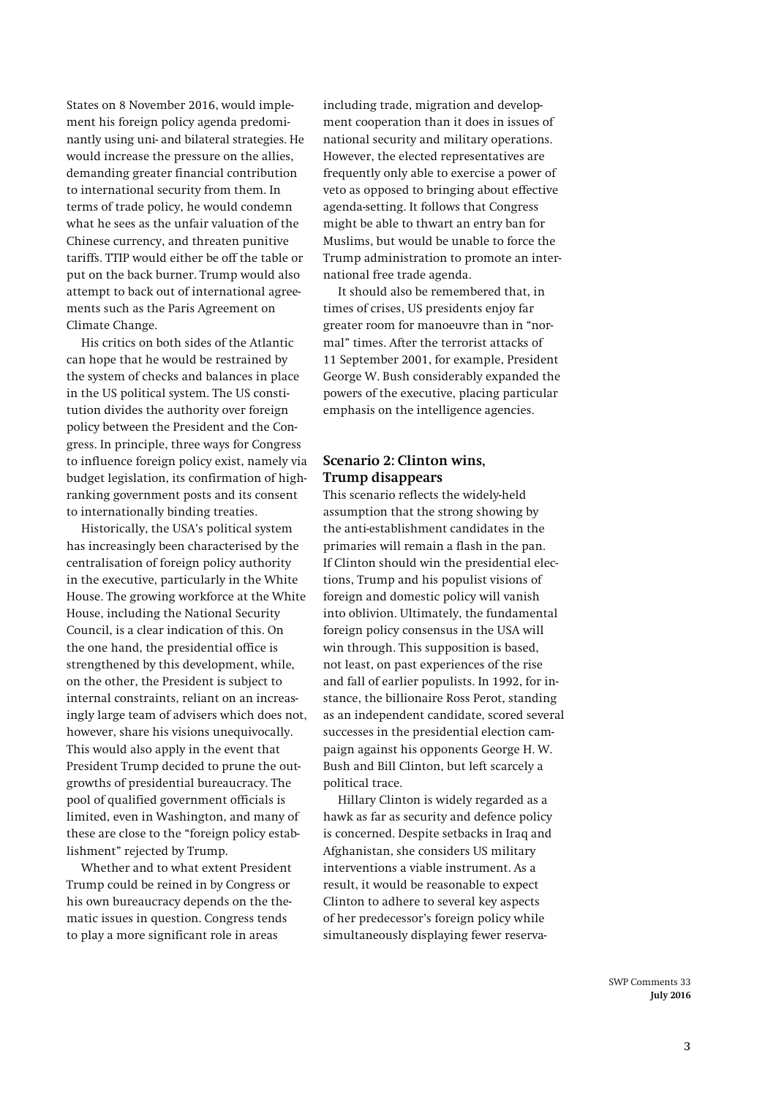States on 8 November 2016, would implement his foreign policy agenda predominantly using uni- and bilateral strategies. He would increase the pressure on the allies, demanding greater financial contribution to international security from them. In terms of trade policy, he would condemn what he sees as the unfair valuation of the Chinese currency, and threaten punitive tariffs. TTIP would either be off the table or put on the back burner. Trump would also attempt to back out of international agreements such as the Paris Agreement on Climate Change.

His critics on both sides of the Atlantic can hope that he would be restrained by the system of checks and balances in place in the US political system. The US constitution divides the authority over foreign policy between the President and the Congress. In principle, three ways for Congress to influence foreign policy exist, namely via budget legislation, its confirmation of highranking government posts and its consent to internationally binding treaties.

Historically, the USA's political system has increasingly been characterised by the centralisation of foreign policy authority in the executive, particularly in the White House. The growing workforce at the White House, including the National Security Council, is a clear indication of this. On the one hand, the presidential office is strengthened by this development, while, on the other, the President is subject to internal constraints, reliant on an increasingly large team of advisers which does not, however, share his visions unequivocally. This would also apply in the event that President Trump decided to prune the outgrowths of presidential bureaucracy. The pool of qualified government officials is limited, even in Washington, and many of these are close to the "foreign policy establishment" rejected by Trump.

Whether and to what extent President Trump could be reined in by Congress or his own bureaucracy depends on the thematic issues in question. Congress tends to play a more significant role in areas

including trade, migration and development cooperation than it does in issues of national security and military operations. However, the elected representatives are frequently only able to exercise a power of veto as opposed to bringing about effective agenda-setting. It follows that Congress might be able to thwart an entry ban for Muslims, but would be unable to force the Trump administration to promote an international free trade agenda.

It should also be remembered that, in times of crises, US presidents enjoy far greater room for manoeuvre than in "normal" times. After the terrorist attacks of 11 September 2001, for example, President George W. Bush considerably expanded the powers of the executive, placing particular emphasis on the intelligence agencies.

#### **Scenario 2: Clinton wins, Trump disappears**

This scenario reflects the widely-held assumption that the strong showing by the anti-establishment candidates in the primaries will remain a flash in the pan. If Clinton should win the presidential elections, Trump and his populist visions of foreign and domestic policy will vanish into oblivion. Ultimately, the fundamental foreign policy consensus in the USA will win through. This supposition is based, not least, on past experiences of the rise and fall of earlier populists. In 1992, for instance, the billionaire Ross Perot, standing as an independent candidate, scored several successes in the presidential election campaign against his opponents George H. W. Bush and Bill Clinton, but left scarcely a political trace.

Hillary Clinton is widely regarded as a hawk as far as security and defence policy is concerned. Despite setbacks in Iraq and Afghanistan, she considers US military interventions a viable instrument. As a result, it would be reasonable to expect Clinton to adhere to several key aspects of her predecessor's foreign policy while simultaneously displaying fewer reserva-

> SWP Comments 33 **July 2016**